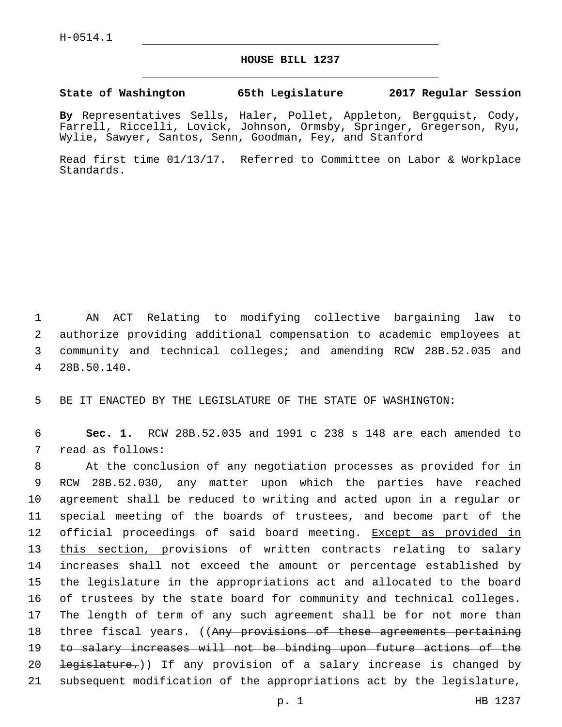## **HOUSE BILL 1237**

## **State of Washington 65th Legislature 2017 Regular Session**

**By** Representatives Sells, Haler, Pollet, Appleton, Bergquist, Cody, Farrell, Riccelli, Lovick, Johnson, Ormsby, Springer, Gregerson, Ryu, Wylie, Sawyer, Santos, Senn, Goodman, Fey, and Stanford

Read first time 01/13/17. Referred to Committee on Labor & Workplace Standards.

 AN ACT Relating to modifying collective bargaining law to authorize providing additional compensation to academic employees at community and technical colleges; and amending RCW 28B.52.035 and 28B.50.140.4

5 BE IT ENACTED BY THE LEGISLATURE OF THE STATE OF WASHINGTON:

6 **Sec. 1.** RCW 28B.52.035 and 1991 c 238 s 148 are each amended to 7 read as follows:

 At the conclusion of any negotiation processes as provided for in RCW 28B.52.030, any matter upon which the parties have reached agreement shall be reduced to writing and acted upon in a regular or special meeting of the boards of trustees, and become part of the 12 official proceedings of said board meeting. Except as provided in 13 this section, provisions of written contracts relating to salary increases shall not exceed the amount or percentage established by the legislature in the appropriations act and allocated to the board of trustees by the state board for community and technical colleges. The length of term of any such agreement shall be for not more than 18 three fiscal years. ((Any provisions of these agreements pertaining to salary increases will not be binding upon future actions of the 20 <del>legislature.</del>)) If any provision of a salary increase is changed by subsequent modification of the appropriations act by the legislature,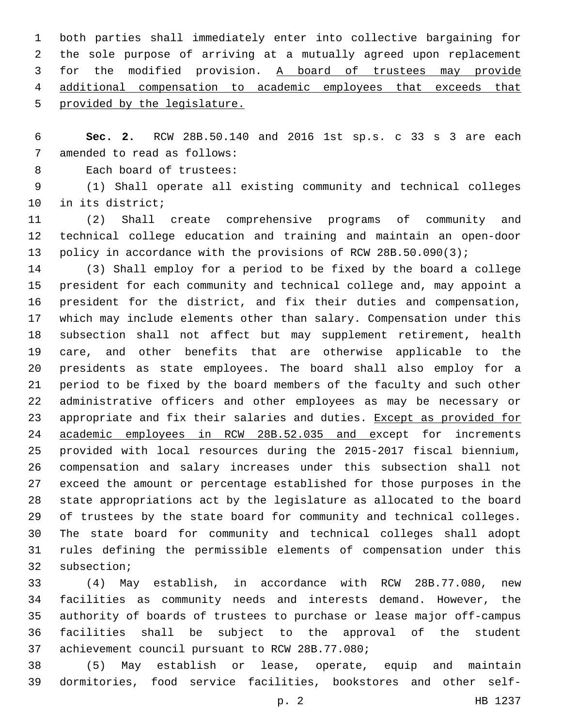both parties shall immediately enter into collective bargaining for the sole purpose of arriving at a mutually agreed upon replacement for the modified provision. A board of trustees may provide additional compensation to academic employees that exceeds that provided by the legislature.

 **Sec. 2.** RCW 28B.50.140 and 2016 1st sp.s. c 33 s 3 are each 7 amended to read as follows:

8 Each board of trustees:

 (1) Shall operate all existing community and technical colleges 10 in its district;

 (2) Shall create comprehensive programs of community and technical college education and training and maintain an open-door policy in accordance with the provisions of RCW 28B.50.090(3);

 (3) Shall employ for a period to be fixed by the board a college president for each community and technical college and, may appoint a president for the district, and fix their duties and compensation, which may include elements other than salary. Compensation under this subsection shall not affect but may supplement retirement, health care, and other benefits that are otherwise applicable to the presidents as state employees. The board shall also employ for a period to be fixed by the board members of the faculty and such other administrative officers and other employees as may be necessary or 23 appropriate and fix their salaries and duties. Except as provided for academic employees in RCW 28B.52.035 and except for increments provided with local resources during the 2015-2017 fiscal biennium, compensation and salary increases under this subsection shall not exceed the amount or percentage established for those purposes in the state appropriations act by the legislature as allocated to the board of trustees by the state board for community and technical colleges. The state board for community and technical colleges shall adopt rules defining the permissible elements of compensation under this 32 subsection;

 (4) May establish, in accordance with RCW 28B.77.080, new facilities as community needs and interests demand. However, the authority of boards of trustees to purchase or lease major off-campus facilities shall be subject to the approval of the student 37 achievement council pursuant to RCW 28B.77.080;

 (5) May establish or lease, operate, equip and maintain dormitories, food service facilities, bookstores and other self-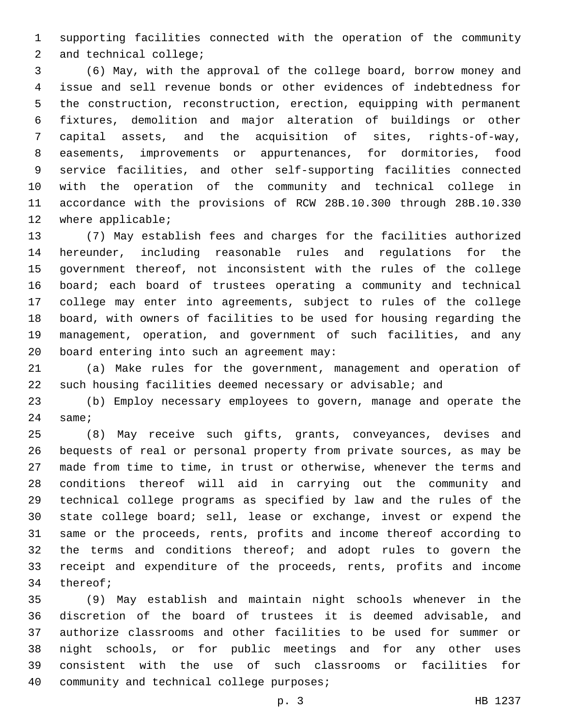supporting facilities connected with the operation of the community 2 and technical college;

 (6) May, with the approval of the college board, borrow money and issue and sell revenue bonds or other evidences of indebtedness for the construction, reconstruction, erection, equipping with permanent fixtures, demolition and major alteration of buildings or other capital assets, and the acquisition of sites, rights-of-way, easements, improvements or appurtenances, for dormitories, food service facilities, and other self-supporting facilities connected with the operation of the community and technical college in accordance with the provisions of RCW 28B.10.300 through 28B.10.330 12 where applicable;

 (7) May establish fees and charges for the facilities authorized hereunder, including reasonable rules and regulations for the government thereof, not inconsistent with the rules of the college board; each board of trustees operating a community and technical college may enter into agreements, subject to rules of the college board, with owners of facilities to be used for housing regarding the management, operation, and government of such facilities, and any 20 board entering into such an agreement may:

 (a) Make rules for the government, management and operation of such housing facilities deemed necessary or advisable; and

 (b) Employ necessary employees to govern, manage and operate the 24 same;

 (8) May receive such gifts, grants, conveyances, devises and bequests of real or personal property from private sources, as may be made from time to time, in trust or otherwise, whenever the terms and conditions thereof will aid in carrying out the community and technical college programs as specified by law and the rules of the state college board; sell, lease or exchange, invest or expend the same or the proceeds, rents, profits and income thereof according to the terms and conditions thereof; and adopt rules to govern the receipt and expenditure of the proceeds, rents, profits and income 34 thereof;

 (9) May establish and maintain night schools whenever in the discretion of the board of trustees it is deemed advisable, and authorize classrooms and other facilities to be used for summer or night schools, or for public meetings and for any other uses consistent with the use of such classrooms or facilities for 40 community and technical college purposes;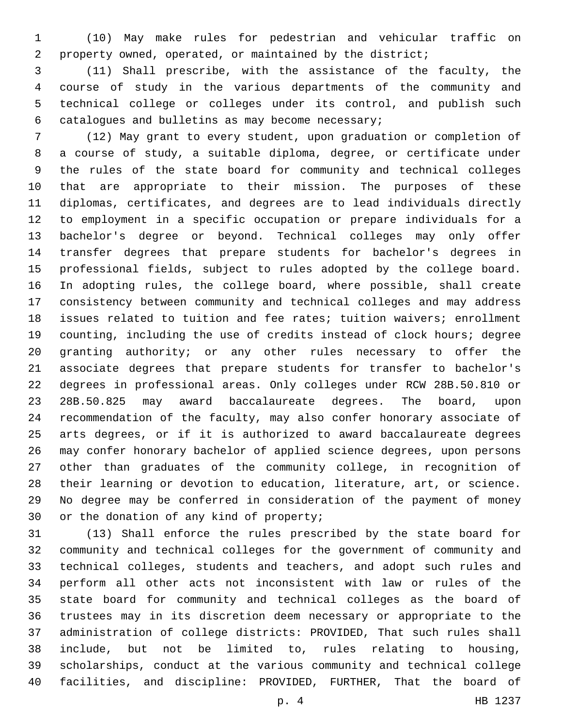(10) May make rules for pedestrian and vehicular traffic on property owned, operated, or maintained by the district;

 (11) Shall prescribe, with the assistance of the faculty, the course of study in the various departments of the community and technical college or colleges under its control, and publish such 6 catalogues and bulletins as may become necessary;

 (12) May grant to every student, upon graduation or completion of a course of study, a suitable diploma, degree, or certificate under the rules of the state board for community and technical colleges that are appropriate to their mission. The purposes of these diplomas, certificates, and degrees are to lead individuals directly to employment in a specific occupation or prepare individuals for a bachelor's degree or beyond. Technical colleges may only offer transfer degrees that prepare students for bachelor's degrees in professional fields, subject to rules adopted by the college board. In adopting rules, the college board, where possible, shall create consistency between community and technical colleges and may address issues related to tuition and fee rates; tuition waivers; enrollment counting, including the use of credits instead of clock hours; degree granting authority; or any other rules necessary to offer the associate degrees that prepare students for transfer to bachelor's degrees in professional areas. Only colleges under RCW 28B.50.810 or 28B.50.825 may award baccalaureate degrees. The board, upon recommendation of the faculty, may also confer honorary associate of arts degrees, or if it is authorized to award baccalaureate degrees may confer honorary bachelor of applied science degrees, upon persons other than graduates of the community college, in recognition of their learning or devotion to education, literature, art, or science. No degree may be conferred in consideration of the payment of money 30 or the donation of any kind of property;

 (13) Shall enforce the rules prescribed by the state board for community and technical colleges for the government of community and technical colleges, students and teachers, and adopt such rules and perform all other acts not inconsistent with law or rules of the state board for community and technical colleges as the board of trustees may in its discretion deem necessary or appropriate to the administration of college districts: PROVIDED, That such rules shall include, but not be limited to, rules relating to housing, scholarships, conduct at the various community and technical college facilities, and discipline: PROVIDED, FURTHER, That the board of

p. 4 HB 1237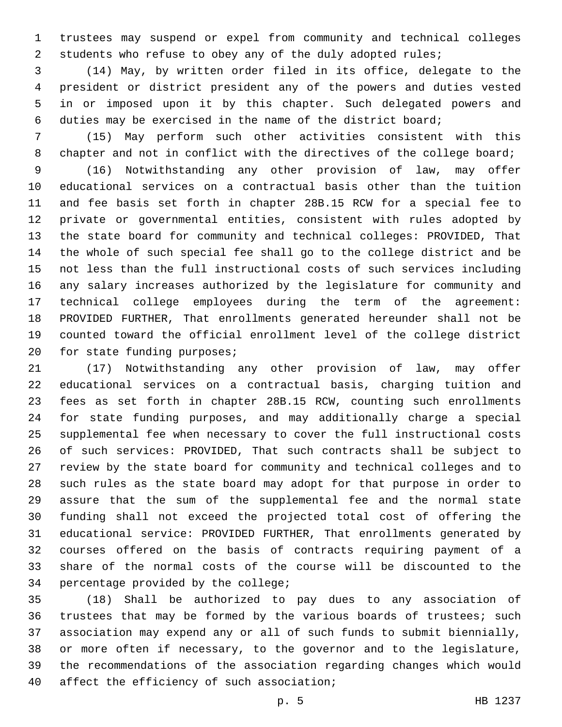trustees may suspend or expel from community and technical colleges 2 students who refuse to obey any of the duly adopted rules;

 (14) May, by written order filed in its office, delegate to the president or district president any of the powers and duties vested in or imposed upon it by this chapter. Such delegated powers and duties may be exercised in the name of the district board;

 (15) May perform such other activities consistent with this 8 chapter and not in conflict with the directives of the college board;

 (16) Notwithstanding any other provision of law, may offer educational services on a contractual basis other than the tuition and fee basis set forth in chapter 28B.15 RCW for a special fee to private or governmental entities, consistent with rules adopted by the state board for community and technical colleges: PROVIDED, That the whole of such special fee shall go to the college district and be not less than the full instructional costs of such services including any salary increases authorized by the legislature for community and technical college employees during the term of the agreement: PROVIDED FURTHER, That enrollments generated hereunder shall not be counted toward the official enrollment level of the college district 20 for state funding purposes;

 (17) Notwithstanding any other provision of law, may offer educational services on a contractual basis, charging tuition and fees as set forth in chapter 28B.15 RCW, counting such enrollments for state funding purposes, and may additionally charge a special supplemental fee when necessary to cover the full instructional costs of such services: PROVIDED, That such contracts shall be subject to review by the state board for community and technical colleges and to such rules as the state board may adopt for that purpose in order to assure that the sum of the supplemental fee and the normal state funding shall not exceed the projected total cost of offering the educational service: PROVIDED FURTHER, That enrollments generated by courses offered on the basis of contracts requiring payment of a share of the normal costs of the course will be discounted to the 34 percentage provided by the college;

 (18) Shall be authorized to pay dues to any association of 36 trustees that may be formed by the various boards of trustees; such association may expend any or all of such funds to submit biennially, or more often if necessary, to the governor and to the legislature, the recommendations of the association regarding changes which would 40 affect the efficiency of such association;